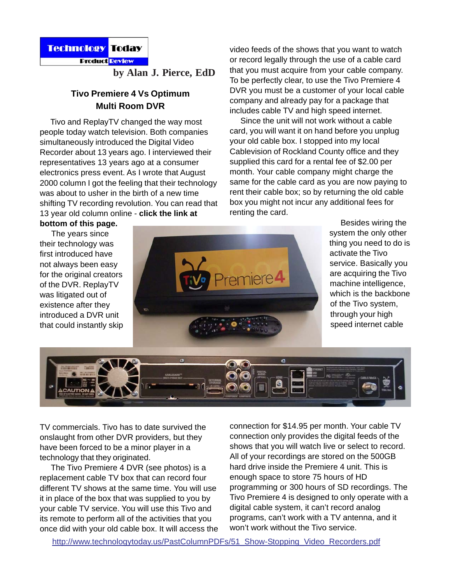Technology Today

**Product Review** 

**by Alan J. Pierce, EdD**

## **Tivo Premiere 4 Vs Optimum Multi Room DVR**

 Tivo and ReplayTV changed the way most people today watch television. Both companies simultaneously introduced the Digital Video Recorder about 13 years ago. I interviewed their representatives 13 years ago at a consumer electronics press event. As I wrote that August 2000 column I got the feeling that their technology was about to usher in the birth of a new time shifting TV recording revolution. You can read that 13 year old column online - **click the link at**

video feeds of the shows that you want to watch or record legally through the use of a cable card that you must acquire from your cable company. To be perfectly clear, to use the Tivo Premiere 4 DVR you must be a customer of your local cable company and already pay for a package that includes cable TV and high speed internet.

 Since the unit will not work without a cable card, you will want it on hand before you unplug your old cable box. I stopped into my local Cablevision of Rockland County office and they supplied this card for a rental fee of \$2.00 per month. Your cable company might charge the same for the cable card as you are now paying to rent their cable box; so by returning the old cable box you might not incur any additional fees for renting the card.

## **bottom of this page.**

 The years since their technology was first introduced have not always been easy for the original creators of the DVR. ReplayTV was litigated out of existence after they introduced a DVR unit that could instantly skip



 Besides wiring the system the only other thing you need to do is activate the Tivo service. Basically you are acquiring the Tivo machine intelligence, which is the backbone of the Tivo system, through your high speed internet cable



TV commercials. Tivo has to date survived the onslaught from other DVR providers, but they have been forced to be a minor player in a technology that they originated.

 The Tivo Premiere 4 DVR (see photos) is a replacement cable TV box that can record four different TV shows at the same time. You will use it in place of the box that was supplied to you by your cable TV service. You will use this Tivo and its remote to perform all of the activities that you once did with your old cable box. It will access the

connection for \$14.95 per month. Your cable TV connection only provides the digital feeds of the shows that you will watch live or select to record. All of your recordings are stored on the 500GB hard drive inside the Premiere 4 unit. This is enough space to store 75 hours of HD programming or 300 hours of SD recordings. The Tivo Premiere 4 is designed to only operate with a digital cable system, it can't record analog programs, can't work with a TV antenna, and it won't work without the Tivo service.

http://www.technologytoday.us/PastColumnPDFs/51\_Show-Stopping\_Video\_Recorders.pdf